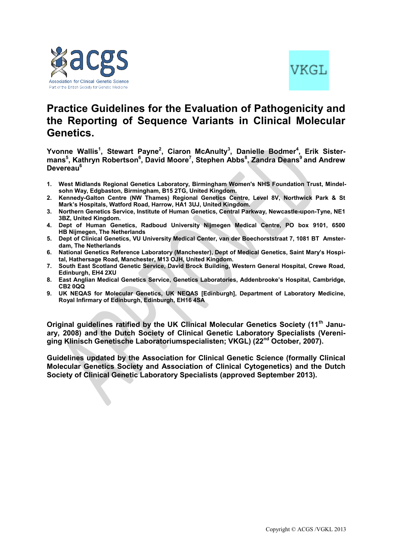



# **Practice Guidelines for the Evaluation of Pathogenicity and the Reporting of Sequence Variants in Clinical Molecular Genetics.**

**Yvonne Wallis<sup>1</sup> , Stewart Payne<sup>2</sup> , Ciaron McAnulty<sup>3</sup> , Danielle Bodmer<sup>4</sup> , Erik Sistermans<sup>5</sup> , Kathryn Robertson<sup>6</sup> , David Moore<sup>7</sup> , Stephen Abbs<sup>8</sup> , Zandra Deans<sup>9</sup> and Andrew Devereau<sup>6</sup>**

- **1. West Midlands Regional Genetics Laboratory, Birmingham Women's NHS Foundation Trust, Mindelsohn Way, Edgbaston, Birmingham, B15 2TG, United Kingdom.**
- **2. Kennedy-Galton Centre (NW Thames) Regional Genetics Centre, Level 8V, Northwick Park & St Mark's Hospitals, Watford Road, Harrow, HA1 3UJ, United Kingdom.**
- **3. Northern Genetics Service, Institute of Human Genetics, Central Parkway, Newcastle-upon-Tyne, NE1 3BZ, United Kingdom.**
- **4. Dept of Human Genetics, Radboud University Nijmegen Medical Centre, PO box 9101, 6500 HB Nijmegen, The Netherlands**
- **5. Dept of Clinical Genetics, VU University Medical Center, van der Boechorststraat 7, 1081 BT Amsterdam, The Netherlands**
- **6. National Genetics Reference Laboratory (Manchester), Dept of Medical Genetics, Saint Mary's Hospital, Hathersage Road, Manchester, M13 OJH, United Kingdom.**
- **7. South East Scotland Genetic Service, David Brock Building, Western General Hospital, Crewe Road, Edinburgh, EH4 2XU**
- **8. East Anglian Medical Genetics Service, Genetics Laboratories, Addenbrooke's Hospital, Cambridge, CB2 0QQ**
- **9. UK NEQAS for Molecular Genetics, UK NEQAS [Edinburgh], Department of Laboratory Medicine, Royal Infirmary of Edinburgh, Edinburgh, EH16 4SA**

**Original guidelines ratified by the UK Clinical Molecular Genetics Society (11th January, 2008) and the Dutch Society of Clinical Genetic Laboratory Specialists (Vereniging Klinisch Genetische Laboratoriumspecialisten; VKGL) (22nd October, 2007).**

**Guidelines updated by the Association for Clinical Genetic Science (formally Clinical Molecular Genetics Society and Association of Clinical Cytogenetics) and the Dutch Society of Clinical Genetic Laboratory Specialists (approved September 2013).**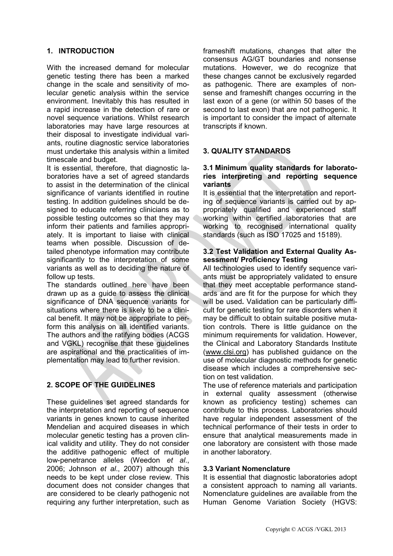# **1. INTRODUCTION**

With the increased demand for molecular genetic testing there has been a marked change in the scale and sensitivity of molecular genetic analysis within the service environment. Inevitably this has resulted in a rapid increase in the detection of rare or novel sequence variations. Whilst research laboratories may have large resources at their disposal to investigate individual variants, routine diagnostic service laboratories must undertake this analysis within a limited timescale and budget.

It is essential, therefore, that diagnostic laboratories have a set of agreed standards to assist in the determination of the clinical significance of variants identified in routine testing. In addition guidelines should be designed to educate referring clinicians as to possible testing outcomes so that they may inform their patients and families appropriately. It is important to liaise with clinical teams when possible. Discussion of detailed phenotype information may contribute significantly to the interpretation of some variants as well as to deciding the nature of follow up tests.

The standards outlined here have been drawn up as a guide to assess the clinical significance of DNA sequence variants for situations where there is likely to be a clinical benefit. It may not be appropriate to perform this analysis on all identified variants. The authors and the ratifying bodies (ACGS and VGKL) recognise that these guidelines are aspirational and the practicalities of implementation may lead to further revision.

# **2. SCOPE OF THE GUIDELINES**

These guidelines set agreed standards for the interpretation and reporting of sequence variants in genes known to cause inherited Mendelian and acquired diseases in which molecular genetic testing has a proven clinical validity and utility. They do not consider the additive pathogenic effect of multiple low-penetrance alleles (Weedon *et al*., 2006; Johnson *et al*., 2007) although this needs to be kept under close review. This document does not consider changes that are considered to be clearly pathogenic not requiring any further interpretation, such as

frameshift mutations, changes that alter the consensus AG/GT boundaries and nonsense mutations. However, we do recognize that these changes cannot be exclusively regarded as pathogenic. There are examples of nonsense and frameshift changes occurring in the last exon of a gene (or within 50 bases of the second to last exon) that are not pathogenic. It is important to consider the impact of alternate transcripts if known.

# **3. QUALITY STANDARDS**

## **3.1 Minimum quality standards for laboratories interpreting and reporting sequence variants**

It is essential that the interpretation and reporting of sequence variants is carried out by appropriately qualified and experienced staff working within certified laboratories that are working to recognised international quality standards (such as ISO 17025 and 15189).

#### **3.2 Test Validation and External Quality Assessment/ Proficiency Testing**

All technologies used to identify sequence variants must be appropriately validated to ensure that they meet acceptable performance standards and are fit for the purpose for which they will be used**.** Validation can be particularly difficult for genetic testing for rare disorders when it may be difficult to obtain suitable positive mutation controls. There is little guidance on the minimum requirements for validation. However, the Clinical and Laboratory Standards Institute [\(www.clsi.org\)](http://www.clsi.org/) has published guidance on the use of molecular diagnostic methods for genetic disease which includes a comprehensive section on test validation.

The use of reference materials and participation in external quality assessment (otherwise known as proficiency testing) schemes can contribute to this process. Laboratories should have regular independent assessment of the technical performance of their tests in order to ensure that analytical measurements made in one laboratory are consistent with those made in another laboratory.

# **3.3 Variant Nomenclature**

It is essential that diagnostic laboratories adopt a consistent approach to naming all variants. Nomenclature guidelines are available from the Human Genome Variation Society (HGVS: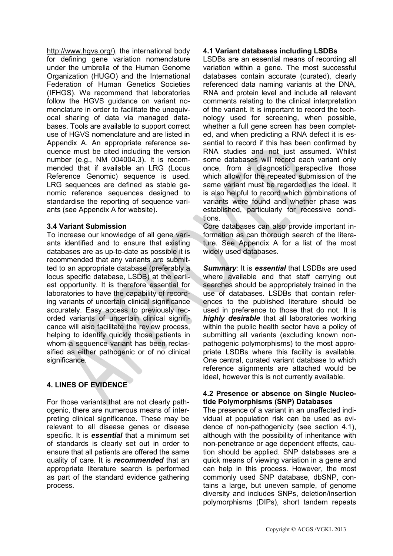http://www.hgvs.org/), the international body for defining gene variation nomenclature under the umbrella of the Human Genome Organization (HUGO) and the International Federation of Human Genetics Societies (IFHGS). We recommend that laboratories follow the HGVS guidance on variant nomenclature in order to facilitate the unequivocal sharing of data via managed databases. Tools are available to support correct use of HGVS nomenclature and are listed in Appendix A. An appropriate reference sequence must be cited including the version number (e.g., NM 004004.3). It is recommended that if available an LRG (Locus Reference Genomic) sequence is used. LRG sequences are defined as stable genomic reference sequences designed to standardise the reporting of sequence variants (see Appendix A for website).

# **3.4 Variant Submission**

To increase our knowledge of all gene variants identified and to ensure that existing databases are as up-to-date as possible it is recommended that any variants are submitted to an appropriate database (preferably a locus specific database, LSDB) at the earliest opportunity. It is therefore essential for laboratories to have the capability of recording variants of uncertain clinical significance accurately. Easy access to previously recorded variants of uncertain clinical significance will also facilitate the review process, helping to identify quickly those patients in whom a sequence variant has been reclassified as either pathogenic or of no clinical significance.

# **4. LINES OF EVIDENCE**

For those variants that are not clearly pathogenic, there are numerous means of interpreting clinical significance. These may be relevant to all disease genes or disease specific. It is *essential* that a minimum set of standards is clearly set out in order to ensure that all patients are offered the same quality of care. It is *recommended* that an appropriate literature search is performed as part of the standard evidence gathering process.

# **4.1 Variant databases including LSDBs**

LSDBs are an essential means of recording all variation within a gene. The most successful databases contain accurate (curated), clearly referenced data naming variants at the DNA, RNA and protein level and include all relevant comments relating to the clinical interpretation of the variant. It is important to record the technology used for screening, when possible, whether a full gene screen has been completed, and when predicting a RNA defect it is essential to record if this has been confirmed by RNA studies and not just assumed. Whilst some databases will record each variant only once, from a diagnostic perspective those which allow for the repeated submission of the same variant must be regarded as the ideal. It is also helpful to record which combinations of variants were found and whether phase was established, particularly for recessive conditions.

Core databases can also provide important information as can thorough search of the literature. See Appendix A for a list of the most widely used databases.

*Summary*: It is *essential* that LSDBs are used where available and that staff carrying out searches should be appropriately trained in the use of databases. LSDBs that contain references to the published literature should be used in preference to those that do not. It is *highly desirable* that all laboratories working within the public health sector have a policy of submitting all variants (excluding known nonpathogenic polymorphisms) to the most appropriate LSDBs where this facility is available. One central, curated variant database to which reference alignments are attached would be ideal, however this is not currently available.

## **4.2 Presence or absence on Single Nucleotide Polymorphisms (SNP) Databases**

The presence of a variant in an unaffected individual at population risk can be used as evidence of non-pathogenicity (see section 4.1), although with the possibility of inheritance with non-penetrance or age dependent effects, caution should be applied. SNP databases are a quick means of viewing variation in a gene and can help in this process. However, the most commonly used SNP database, dbSNP, contains a large, but uneven sample, of genome diversity and includes SNPs, deletion/insertion polymorphisms (DIPs), short tandem repeats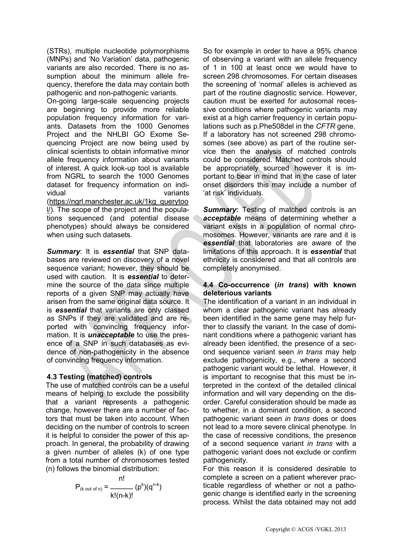(STRs), multiple nucleotide polymorphisms (MNPs) and 'No Variation' data, pathogenic variants are also recorded. There is no assumption about the minimum allele frequency, therefore the data may contain both pathogenic and non-pathogenic variants.

On-going large-scale sequencing projects are beginning to provide more reliable population frequency information for variants. Datasets from the 1000 Genomes Project and the NHLBI GO Exome Sequencing Project are now being used by clinical scientists to obtain informative minor allele frequency information about variants of interest. A quick look-up tool is available from NGRL to search the 1000 Genomes dataset for frequency information on individual variants [\(https://ngrl.manchester.ac.uk/1kg\\_querytoo](https://ngrl.manchester.ac.uk/1kg_querytool/) [l/\)](https://ngrl.manchester.ac.uk/1kg_querytool/). The scope of the project and the populations sequenced (and potential disease phenotypes) should always be considered when using such datasets.

*Summary*: It is *essential* that SNP databases are reviewed on discovery of a novel sequence variant; however, they should be used with caution. It is *essential* to determine the source of the data since multiple reports of a given SNP may actually have arisen from the same original data source. It is *essential* that variants are only classed as SNPs if they are validated and are reported with convincing frequency information. It is *unacceptable* to use the presence of a SNP in such databases as evidence of non-pathogenicity in the absence of convincing frequency information.

# **4.3 Testing (matched) controls**

The use of matched controls can be a useful means of helping to exclude the possibility that a variant represents a pathogenic change, however there are a number of factors that must be taken into account. When deciding on the number of controls to screen it is helpful to consider the power of this approach. In general, the probability of drawing a given number of alleles (k) of one type from a total number of chromosomes tested (n) follows the binomial distribution:

$$
P_{(k \text{ out of } n)} = \frac{n!}{k!(n-k)!} (p^{k})(q^{n-k})
$$

So for example in order to have a 95% chance of observing a variant with an allele frequency of 1 in 100 at least once we would have to screen 298 chromosomes. For certain diseases the screening of 'normal' alleles is achieved as part of the routine diagnostic service. However, caution must be exerted for autosomal recessive conditions where pathogenic variants may exist at a high carrier frequency in certain populations such as p.Phe508del in the *CFTR* gene. If a laboratory has not screened 298 chromosomes (see above) as part of the routine service then the analysis of matched controls could be considered. Matched controls should be appropriately sourced however it is important to bear in mind that in the case of later onset disorders this may include a number of 'at risk' individuals.

**Summary:** Testing of matched controls is an *acceptable* means of determining whether a variant exists in a population of normal chromosomes. However, variants are rare and it is *essential* that laboratories are aware of the limitations of this approach. It is *essential* that ethnicity is considered and that all controls are completely anonymised.

## **4.4 Co-occurrence (***in trans***) with known deleterious variants**

The identification of a variant in an individual in whom a clear pathogenic variant has already been identified in the same gene may help further to classify the variant. In the case of dominant conditions where a pathogenic variant has already been identified, the presence of a second sequence variant seen *in trans* may help exclude pathogenicity, e.g., where a second pathogenic variant would be lethal. However, it is important to recognise that this must be interpreted in the context of the detailed clinical information and will vary depending on the disorder. Careful consideration should be made as to whether, in a dominant condition, a second pathogenic variant seen *in trans* does or does not lead to a more severe clinical phenotype. In the case of recessive conditions, the presence of a second sequence variant *in trans* with a pathogenic variant does not exclude or confirm pathogenicity.

For this reason it is considered desirable to complete a screen on a patient wherever practicable regardless of whether or not a pathogenic change is identified early in the screening process. Whilst the data obtained may not add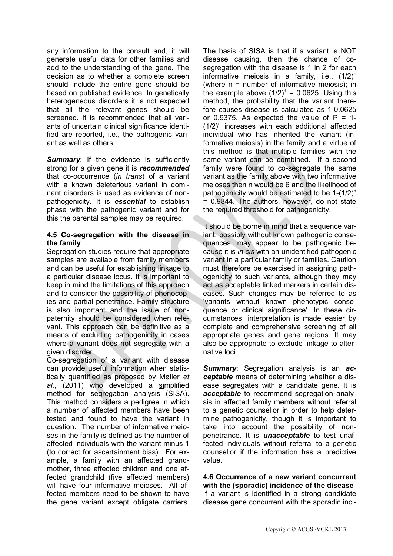any information to the consult and, it will generate useful data for other families and add to the understanding of the gene. The decision as to whether a complete screen should include the entire gene should be based on published evidence. In genetically heterogeneous disorders it is not expected that all the relevant genes should be screened. It is recommended that all variants of uncertain clinical significance identified are reported, i.e., the pathogenic variant as well as others.

**Summary:** If the evidence is sufficiently strong for a given gene it is *recommended* that co-occurrence (*in trans*) of a variant with a known deleterious variant in dominant disorders is used as evidence of nonpathogenicity. It is *essential* to establish phase with the pathogenic variant and for this the parental samples may be required.

## **4.5 Co-segregation with the disease in the family**

Segregation studies require that appropriate samples are available from family members and can be useful for establishing linkage to a particular disease locus. It is important to keep in mind the limitations of this approach and to consider the possibility of phenocopies and partial penetrance. Family structure is also important and the issue of nonpaternity should be considered when relevant. This approach can be definitive as a means of excluding pathogenicity in cases where a variant does not segregate with a given disorder.

Co-segregation of a variant with disease can provide useful information when statistically quantified as proposed by Møller *et al.*, (2011) who developed a simplified method for segregation analysis (SISA). This method considers a pedigree in which a number of affected members have been tested and found to have the variant in question. The number of informative meioses in the family is defined as the number of affected individuals with the variant minus 1 (to correct for ascertainment bias). For example, a family with an affected grandmother, three affected children and one affected grandchild (five affected members) will have four informative meioses. All affected members need to be shown to have the gene variant except obligate carriers.

The basis of SISA is that if a variant is NOT disease causing, then the chance of cosegregation with the disease is 1 in 2 for each informative meiosis in a family, i.e.,  $(1/2)^n$ (where n = number of informative meiosis); in the example above  $(1/2)^4 = 0.0625$ . Using this method, the probability that the variant therefore causes disease is calculated as 1-0.0625 or 0.9375. As expected the value of  $P = 1$ - $(1/2)^n$  increases with each additional affected individual who has inherited the variant (informative meiosis) in the family and a virtue of this method is that multiple families with the same variant can be combined. If a second family were found to co-segregate the same variant as the family above with two informative meioses then n would be 6 and the likelihood of pathogenicity would be estimated to be  $1-(1/2)^6$ = 0.9844. The authors, however, do not state the required threshold for pathogenicity.

It should be borne in mind that a sequence variant, possibly without known pathogenic consequences, may appear to be pathogenic because it is *in cis* with an unidentified pathogenic variant in a particular family or families. Caution must therefore be exercised in assigning pathogenicity to such variants, although they may act as acceptable linked markers in certain diseases. Such changes may be referred to as 'variants without known phenotypic consequence or clinical significance'. In these circumstances, interpretation is made easier by complete and comprehensive screening of all appropriate genes and gene regions. It may also be appropriate to exclude linkage to alternative loci.

*Summary*: Segregation analysis is an *acceptable* means of determining whether a disease segregates with a candidate gene. It is *acceptable* to recommend segregation analysis in affected family members without referral to a genetic counsellor in order to help determine pathogenicity, though it is important to take into account the possibility of nonpenetrance. It is *unacceptable* to test unaffected individuals without referral to a genetic counsellor if the information has a predictive value.

**4.6 Occurrence of a new variant concurrent with the (sporadic) incidence of the disease** If a variant is identified in a strong candidate disease gene concurrent with the sporadic inci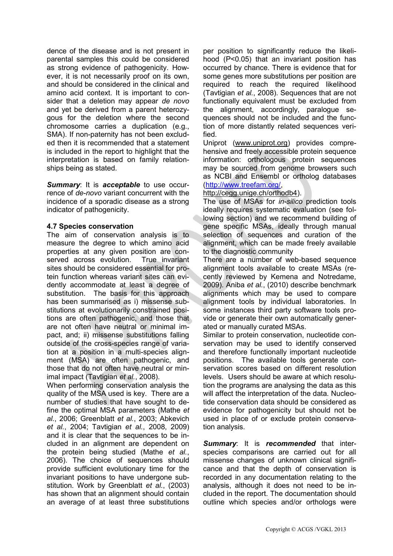dence of the disease and is not present in parental samples this could be considered as strong evidence of pathogenicity. However, it is not necessarily proof on its own, and should be considered in the clinical and amino acid context. It is important to consider that a deletion may appear *de novo* and yet be derived from a parent heterozygous for the deletion where the second chromosome carries a duplication (e.g., SMA). If non-paternity has not been excluded then it is recommended that a statement is included in the report to highlight that the interpretation is based on family relationships being as stated.

*Summary*: It is *acceptable* to use occurrence of *de-novo* variant concurrent with the incidence of a sporadic disease as a strong indicator of pathogenicity.

## **4.7 Species conservation**

The aim of conservation analysis is to measure the degree to which amino acid properties at any given position are conserved across evolution. True invariant sites should be considered essential for protein function whereas variant sites can evidently accommodate at least a degree of substitution. The basis for this approach has been summarised as i) missense substitutions at evolutionarily constrained positions are often pathogenic, and those that are not often have neutral or minimal impact, and; ii) missense substitutions falling outside of the cross-species range of variation at a position in a multi-species alignment (MSA) are often pathogenic, and those that do not often have neutral or minimal impact (Tavtigian *et al.*, 2008).

When performing conservation analysis the quality of the MSA used is key. There are a number of studies that have sought to define the optimal MSA parameters (Mathe *et al.*, 2006; Greenblatt *et al.*, 2003; Abkevich *et al.*, 2004; Tavtigian *et al.*, 2008, 2009) and it is clear that the sequences to be included in an alignment are dependent on the protein being studied (Mathe *et al.*, 2006). The choice of sequences should provide sufficient evolutionary time for the invariant positions to have undergone substitution. Work by Greenblatt *et al.*, (2003) has shown that an alignment should contain an average of at least three substitutions

per position to significantly reduce the likelihood (P<0.05) that an invariant position has occurred by chance. There is evidence that for some genes more substitutions per position are required to reach the required likelihood (Tavtigian *et al.*, 2008). Sequences that are not functionally equivalent must be excluded from the alignment, accordingly, paralogue sequences should not be included and the function of more distantly related sequences verified.

Uniprot [\(www.uniprot.org\)](http://www.uniprot.org/) provides comprehensive and freely accessible protein sequence information: orthologous protein sequences may be sourced from genome browsers such as NCBI and Ensembl or ortholog databases [\(http://www.treefam.org/,](http://www.treefam.org/)

#### [http://cegg.unige.ch/orthodb4\)](http://cegg.unige.ch/orthodb4).

The use of MSAs for *in-silico* prediction tools ideally requires systematic evaluation (see following section) and we recommend building of gene specific MSAs, ideally through manual selection of sequences and curation of the alignment, which can be made freely available to the diagnostic community

There are a number of web-based sequence alignment tools available to create MSAs (recently reviewed by Kemena and Notredame, 2009). Aniba *et al.*, (2010) describe benchmark alignments which may be used to compare alignment tools by individual laboratories. In some instances third party software tools provide or generate their own automatically generated or manually curated MSAs.

Similar to protein conservation, nucleotide conservation may be used to identify conserved and therefore functionally important nucleotide positions. The available tools generate conservation scores based on different resolution levels. Users should be aware at which resolution the programs are analysing the data as this will affect the interpretation of the data. Nucleotide conservation data should be considered as evidence for pathogenicity but should not be used in place of or exclude protein conservation analysis.

*Summary*: It is *recommended* that interspecies comparisons are carried out for all missense changes of unknown clinical significance and that the depth of conservation is recorded in any documentation relating to the analysis, although it does not need to be included in the report. The documentation should outline which species and/or orthologs were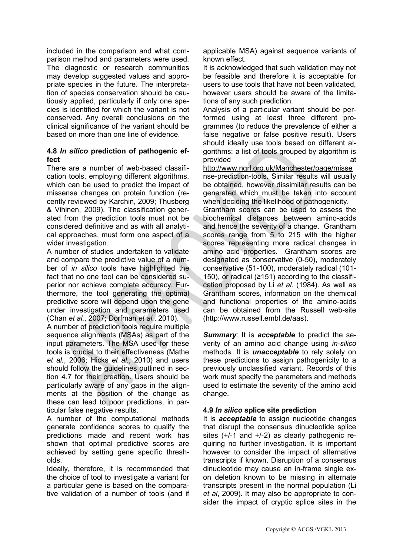included in the comparison and what comparison method and parameters were used. The diagnostic or research communities may develop suggested values and appropriate species in the future. The interpretation of species conservation should be cautiously applied, particularly if only one species is identified for which the variant is not conserved. Any overall conclusions on the clinical significance of the variant should be based on more than one line of evidence.

## **4.8** *In silico* **prediction of pathogenic effect**

There are a number of web-based classification tools, employing different algorithms, which can be used to predict the impact of missense changes on protein function (recently reviewed by Karchin, 2009; Thusberg & Vihinen, 2009). The classification generated from the prediction tools must not be considered definitive and as with all analytical approaches, must form one aspect of a wider investigation.

A number of studies undertaken to validate and compare the predictive value of a number of *in silico* tools have highlighted the fact that no one tool can be considered superior nor achieve complete accuracy. Furthermore, the tool generating the optimal predictive score will depend upon the gene under investigation and parameters used (Chan *et al.*, 2007; Dorfman *et al.*, 2010).

A number of prediction tools require multiple sequence alignments (MSAs) as part of the input parameters. The MSA used for these tools is crucial to their effectiveness (Mathe *et al.*, 2006; Hicks *et al.*, 2010) and users should follow the guidelines outlined in section 4.7 for their creation. Users should be particularly aware of any gaps in the alignments at the position of the change as these can lead to poor predictions, in particular false negative results.

A number of the computational methods generate confidence scores to qualify the predictions made and recent work has shown that optimal predictive scores are achieved by setting gene specific thresholds.

Ideally, therefore, it is recommended that the choice of tool to investigate a variant for a particular gene is based on the comparative validation of a number of tools (and if applicable MSA) against sequence variants of known effect.

It is acknowledged that such validation may not be feasible and therefore it is acceptable for users to use tools that have not been validated, however users should be aware of the limitations of any such prediction.

Analysis of a particular variant should be performed using at least three different programmes (to reduce the prevalence of either a false negative or false positive result). Users should ideally use tools based on different algorithms: a list of tools grouped by algorithm is provided at a strategies of the strategies of the strategies at a strategies of the strategies at a strategies of the strategies of the strategies of the strategies of the strategies of the strategies of the strategies of

[http://www.ngrl.org.uk/Manchester/page/misse](http://www.ngrl.org.uk/Manchester/page/missense-prediction-tools) [nse-prediction-tools.](http://www.ngrl.org.uk/Manchester/page/missense-prediction-tools) Similar results will usually be obtained, however dissimilar results can be generated which must be taken into account when deciding the likelihood of pathogenicity.

Grantham scores can be used to assess the biochemical distances between amino-acids and hence the severity of a change. Grantham scores range from 5 to 215 with the higher scores representing more radical changes in amino acid properties. Grantham scores are designated as conservative (0-50), moderately conservative (51-100), moderately radical (101- 150), or radical (≥151) according to the classification proposed by Li *et al*. (1984). As well as Grantham scores, information on the chemical and functional properties of the amino-acids can be obtained from the Russell web-site [\(http://www.russell.embl.de/aas\)](http://www.russell.embl.de/aas).

*Summary*: It is *acceptable* to predict the severity of an amino acid change using *in-silico* methods. It is *unacceptable* to rely solely on these predictions to assign pathogenicity to a previously unclassified variant. Records of this work must specify the parameters and methods used to estimate the severity of the amino acid change.

# **4.9** *In silico* **splice site prediction**

It is *acceptable* to assign nucleotide changes that disrupt the consensus dinucleotide splice sites  $(+/-1$  and  $+/-2$ ) as clearly pathogenic requiring no further investigation. It is important however to consider the impact of alternative transcripts if known. Disruption of a consensus dinucleotide may cause an in-frame single exon deletion known to be missing in alternate transcripts present in the normal population (Li *et al*, 2009). It may also be appropriate to consider the impact of cryptic splice sites in the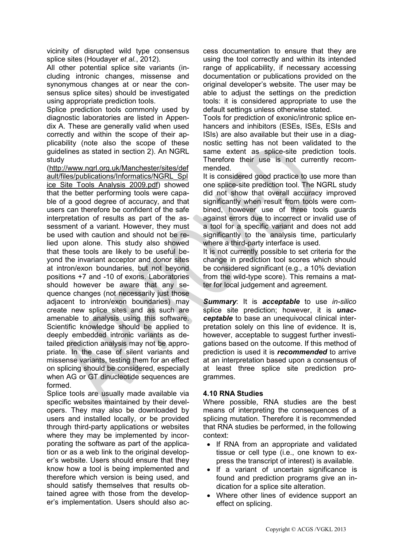vicinity of disrupted wild type consensus splice sites (Houdayer *et al.*, 2012).

All other potential splice site variants (including intronic changes, missense and synonymous changes at or near the consensus splice sites) should be investigated using appropriate prediction tools.

Splice prediction tools commonly used by diagnostic laboratories are listed in Appendix A. These are generally valid when used correctly and within the scope of their applicability (note also the scope of these guidelines as stated in section 2). An NGRL study

[\(http://www.ngrl.org.uk/Manchester/sites/def](http://www.ngrl.org.uk/Manchester/sites/default/files/publications/Informatics/NGRL_Splice_Site_Tools_Analysis_2009.pdf) [ault/files/publications/Informatics/NGRL\\_Spl](http://www.ngrl.org.uk/Manchester/sites/default/files/publications/Informatics/NGRL_Splice_Site_Tools_Analysis_2009.pdf) ice Site Tools Analysis 2009.pdf) showed that the better performing tools were capable of a good degree of accuracy, and that users can therefore be confident of the safe interpretation of results as part of the assessment of a variant. However, they must be used with caution and should not be relied upon alone. This study also showed that these tools are likely to be useful beyond the invariant acceptor and donor sites at intron/exon boundaries, but not beyond positions +7 and -10 of exons. Laboratories should however be aware that any sequence changes (not necessarily just those adjacent to intron/exon boundaries) may create new splice sites and as such are amenable to analysis using this software. Scientific knowledge should be applied to deeply embedded intronic variants as detailed prediction analysis may not be appropriate. In the case of silent variants and missense variants, testing them for an effect on splicing should be considered, especially when AG or GT dinucleotide sequences are formed.

Splice tools are usually made available via specific websites maintained by their developers. They may also be downloaded by users and installed locally, or be provided through third-party applications or websites where they may be implemented by incorporating the software as part of the application or as a web link to the original developer's website. Users should ensure that they know how a tool is being implemented and therefore which version is being used, and should satisfy themselves that results obtained agree with those from the developer's implementation. Users should also access documentation to ensure that they are using the tool correctly and within its intended range of applicability, if necessary accessing documentation or publications provided on the original developer's website. The user may be able to adjust the settings on the prediction tools: it is considered appropriate to use the default settings unless otherwise stated.

Tools for prediction of exonic/intronic splice enhancers and inhibitors (ESEs, ISEs, ESIs and ISIs) are also available but their use in a diagnostic setting has not been validated to the same extent as splice-site prediction tools. Therefore their use is not currently recommended.

It is considered good practice to use more than one splice-site prediction tool. The NGRL study did not show that overall accuracy improved significantly when result from tools were combined, however use of three tools guards against errors due to incorrect or invalid use of a tool for a specific variant and does not add significantly to the analysis time, particularly where a third-party interface is used.

It is not currently possible to set criteria for the change in prediction tool scores which should be considered significant (e.g., a 10% deviation from the wild-type score). This remains a matter for local judgement and agreement.

*Summary*: It is *acceptable* to use *in-silico* splice site prediction; however, it is *unacceptable* to base an unequivocal clinical interpretation solely on this line of evidence. It is, however, acceptable to suggest further investigations based on the outcome. If this method of prediction is used it is *recommended* to arrive at an interpretation based upon a consensus of at least three splice site prediction programmes.

# **4.10 RNA Studies**

Where possible, RNA studies are the best means of interpreting the consequences of a splicing mutation. Therefore it is recommended that RNA studies be performed, in the following context:

- If RNA from an appropriate and validated tissue or cell type (i.e., one known to express the transcript of interest) is available.
- If a variant of uncertain significance is found and prediction programs give an indication for a splice site alteration.
- Where other lines of evidence support an effect on splicing.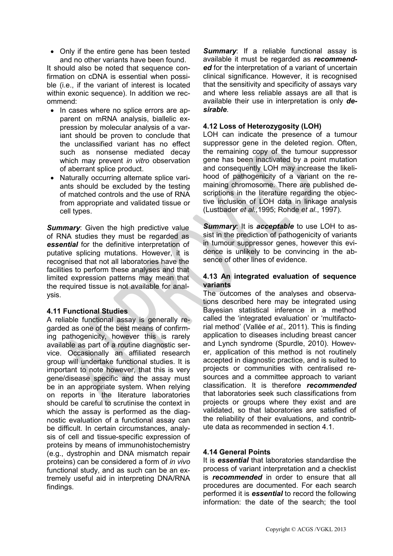• Only if the entire gene has been tested and no other variants have been found.

It should also be noted that sequence confirmation on cDNA is essential when possible (i.e., if the variant of interest is located within exonic sequence). In addition we recommend:

- In cases where no splice errors are apparent on mRNA analysis, biallelic expression by molecular analysis of a variant should be proven to conclude that the unclassified variant has no effect such as nonsense mediated decay which may prevent *in vitro* observation of aberrant splice product.
- Naturally occurring alternate splice variants should be excluded by the testing of matched controls and the use of RNA from appropriate and validated tissue or cell types.

**Summary:** Given the high predictive value of RNA studies they must be regarded as *essential* for the definitive interpretation of putative splicing mutations. However, it is recognised that not all laboratories have the facilities to perform these analyses and that limited expression patterns may mean that the required tissue is not available for analysis.

# **4.11 Functional Studies**

A reliable functional assay is generally regarded as one of the best means of confirming pathogenicity, however this is rarely available as part of a routine diagnostic service. Occasionally an affiliated research group will undertake functional studies. It is important to note however, that this is very gene/disease specific and the assay must be in an appropriate system. When relying on reports in the literature laboratories should be careful to scrutinise the context in which the assay is performed as the diagnostic evaluation of a functional assay can be difficult. In certain circumstances, analysis of cell and tissue-specific expression of proteins by means of immunohistochemistry (e.g., dystrophin and DNA mismatch repair proteins) can be considered a form of *in vivo* functional study, and as such can be an extremely useful aid in interpreting DNA/RNA findings.

**Summary:** If a reliable functional assay is available it must be regarded as *recommend*ed for the interpretation of a variant of uncertain clinical significance. However, it is recognised that the sensitivity and specificity of assays vary and where less reliable assays are all that is available their use in interpretation is only *desirable*.

# **4.12 Loss of Heterozygosity (LOH)**

LOH can indicate the presence of a tumour suppressor gene in the deleted region. Often, the remaining copy of the tumour suppressor gene has been inactivated by a point mutation and consequently LOH may increase the likelihood of pathogenicity of a variant on the remaining chromosome. There are published descriptions in the literature regarding the objective inclusion of LOH data in linkage analysis (Lustbader *et al*.,1995; Rohde *et al*., 1997).

*Summary*: It is *acceptable* to use LOH to assist in the prediction of pathogenicity of variants in tumour suppressor genes, however this evidence is unlikely to be convincing in the absence of other lines of evidence.

## **4.13 An integrated evaluation of sequence variants**

The outcomes of the analyses and observations described here may be integrated using Bayesian statistical inference in a method called the 'integrated evaluation' or 'multifactorial method' (Vallée *et al.,* 2011). This is finding application to diseases including breast cancer and Lynch syndrome (Spurdle, 2010). However, application of this method is not routinely accepted in diagnostic practice, and is suited to projects or communities with centralised resources and a committee approach to variant classification. It is therefore *recommended* that laboratories seek such classifications from projects or groups where they exist and are validated, so that laboratories are satisfied of the reliability of their evaluations, and contribute data as recommended in section 4.1.

# **4.14 General Points**

It is *essential* that laboratories standardise the process of variant interpretation and a checklist is *recommended* in order to ensure that all procedures are documented. For each search performed it is *essential* to record the following information: the date of the search; the tool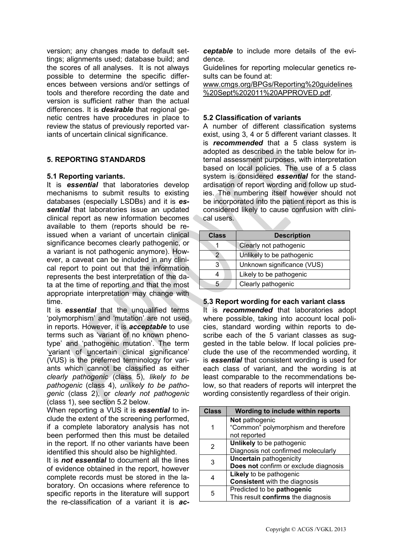version; any changes made to default settings; alignments used; database build; and the scores of all analyses. It is not always possible to determine the specific differences between versions and/or settings of tools and therefore recording the date and version is sufficient rather than the actual differences. It is *desirable* that regional genetic centres have procedures in place to review the status of previously reported variants of uncertain clinical significance.

# **5. REPORTING STANDARDS**

## **5.1 Reporting variants.**

It is *essential* that laboratories develop mechanisms to submit results to existing databases (especially LSDBs) and it is *essential* that laboratories issue an updated clinical report as new information becomes available to them (reports should be reissued when a variant of uncertain clinical significance becomes clearly pathogenic, or a variant is not pathogenic anymore). However, a caveat can be included in any clinical report to point out that the information represents the best interpretation of the data at the time of reporting and that the most appropriate interpretation may change with time.

It is *essential* that the unqualified terms 'polymorphism' and 'mutation' are not used in reports. However, it is *acceptable* to use terms such as 'variant of no known phenotype' and 'pathogenic mutation'. The term 'variant of uncertain clinical significance' (VUS) is the preferred terminology for variants which cannot be classified as either *clearly pathogenic* (class 5), *likely to be pathogenic* (class 4), *unlikely to be pathogenic* (class 2), or *clearly not pathogenic* (class 1), see section 5.2 below.

When reporting a VUS it is *essential* to include the extent of the screening performed, if a complete laboratory analysis has not been performed then this must be detailed in the report. If no other variants have been identified this should also be highlighted.

It is *not essential* to document all the lines of evidence obtained in the report, however complete records must be stored in the laboratory. On occasions where reference to specific reports in the literature will support the re-classification of a variant it is *ac-* *ceptable* to include more details of the evidence.

Guidelines for reporting molecular genetics results can be found at:

[www.cmgs.org/BPGs/Reporting%20guidelines](http://www.cmgs.org/BPGs/Reporting%20guidelines%20Sept%202011%20APPROVED.pdf) [%20Sept%202011%20APPROVED.pdf.](http://www.cmgs.org/BPGs/Reporting%20guidelines%20Sept%202011%20APPROVED.pdf)

## **5.2 Classification of variants**

A number of different classification systems exist, using 3, 4 or 5 different variant classes. It is *recommended* that a 5 class system is adopted as described in the table below for internal assessment purposes, with interpretation based on local policies. The use of a 5 class system is considered *essential* for the standardisation of report wording and follow up studies. The numbering itself however should not be incorporated into the patient report as this is considered likely to cause confusion with clinical users.

| <b>Class</b> | <b>Description</b>         |
|--------------|----------------------------|
|              | Clearly not pathogenic     |
| 2            | Unlikely to be pathogenic  |
| 3            | Unknown significance (VUS) |
|              | Likely to be pathogenic    |
|              | Clearly pathogenic         |

# **5.3 Report wording for each variant class**

It is *recommended* that laboratories adopt where possible, taking into account local policies, standard wording within reports to describe each of the 5 variant classes as suggested in the table below. If local policies preclude the use of the recommended wording, it is *essential* that consistent wording is used for each class of variant, and the wording is at least comparable to the recommendations below, so that readers of reports will interpret the wording consistently regardless of their origin.

| Not pathogenic<br>"Common" polymorphism and therefore<br>not reported<br>Unlikely to be pathogenic |
|----------------------------------------------------------------------------------------------------|
|                                                                                                    |
|                                                                                                    |
|                                                                                                    |
|                                                                                                    |
| 2<br>Diagnosis not confirmed molecularly                                                           |
| <b>Uncertain pathogenicity</b><br>3                                                                |
| Does not confirm or exclude diagnosis                                                              |
| Likely to be pathogenic                                                                            |
| <b>Consistent</b> with the diagnosis                                                               |
| Predicted to be pathogenic<br>5                                                                    |
| This result confirms the diagnosis                                                                 |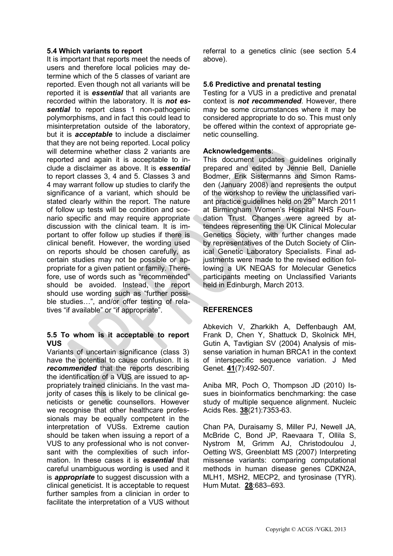## **5.4 Which variants to report**

It is important that reports meet the needs of users and therefore local policies may determine which of the 5 classes of variant are reported. Even though not all variants will be reported it is *essential* that all variants are recorded within the laboratory. It is *not es***sential** to report class 1 non-pathogenic polymorphisms, and in fact this could lead to misinterpretation outside of the laboratory, but it is *acceptable* to include a disclaimer that they are not being reported. Local policy will determine whether class 2 variants are reported and again it is acceptable to include a disclaimer as above. It is *essential* to report classes 3, 4 and 5. Classes 3 and 4 may warrant follow up studies to clarify the significance of a variant, which should be stated clearly within the report. The nature of follow up tests will be condition and scenario specific and may require appropriate discussion with the clinical team. It is important to offer follow up studies if there is clinical benefit. However, the wording used on reports should be chosen carefully, as certain studies may not be possible or appropriate for a given patient or family. Therefore, use of words such as "recommended" should be avoided. Instead, the report should use wording such as "further possible studies…", and/or offer testing of relatives "if available" or "if appropriate".

## **5.5 To whom is it acceptable to report VUS**

Variants of uncertain significance (class 3) have the potential to cause confusion. It is *recommended* that the reports describing the identification of a VUS are issued to appropriately trained clinicians. In the vast majority of cases this is likely to be clinical geneticists or genetic counsellors. However we recognise that other healthcare professionals may be equally competent in the interpretation of VUSs. Extreme caution should be taken when issuing a report of a VUS to any professional who is not conversant with the complexities of such information. In these cases it is *essential* that careful unambiguous wording is used and it is *appropriate* to suggest discussion with a clinical geneticist. It is acceptable to request further samples from a clinician in order to facilitate the interpretation of a VUS without referral to a genetics clinic (see section 5.4 above).

## **5.6 Predictive and prenatal testing**

Testing for a VUS in a predictive and prenatal context is *not recommended*. However, there may be some circumstances where it may be considered appropriate to do so. This must only be offered within the context of appropriate genetic counselling.

#### **Acknowledgements**:

This document updates guidelines originally prepared and edited by Jennie Bell, Danielle Bodmer, Erik Sistermanns and Simon Ramsden (January 2008) and represents the output of the workshop to review the unclassified variant practice guidelines held on 29<sup>th</sup> March 2011 at Birmingham Women's Hospital NHS Foundation Trust. Changes were agreed by attendees representing the UK Clinical Molecular Genetics Society, with further changes made by representatives of the Dutch Society of Clinical Genetic Laboratory Specialists. Final adjustments were made to the revised edition following a UK NEQAS for Molecular Genetics participants meeting on Unclassified Variants held in Edinburgh, March 2013.

#### **REFERENCES**

Abkevich V, Zharkikh A, Deffenbaugh AM, Frank D, Chen Y, Shattuck D, Skolnick MH, Gutin A, Tavtigian SV (2004) Analysis of missense variation in human BRCA1 in the context of interspecific sequence variation. J Med Genet. **41**(7):492-507.

Aniba MR, Poch O, Thompson JD (2010) Issues in bioinformatics benchmarking: the case study of multiple sequence alignment. Nucleic Acids Res. **38**(21):7353-63.

Chan PA, Duraisamy S, Miller PJ, Newell JA, McBride C, Bond JP, Raevaara T, Ollila S, Nystrom M, Grimm AJ, Christodoulou J, Oetting WS, Greenblatt MS (2007) Interpreting missense variants: comparing computational methods in human disease genes CDKN2A, MLH1, MSH2, MECP2, and tyrosinase (TYR). Hum Mutat. **28**:683–693.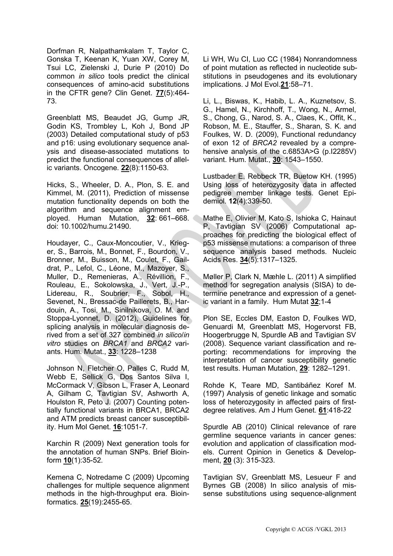Dorfman R, Nalpathamkalam T, Taylor C, Gonska T, Keenan K, Yuan XW, Corey M, Tsui LC, Zielenski J, Durie P (2010) Do common *in silico* tools predict the clinical consequences of amino-acid substitutions in the CFTR gene? Clin Genet. **77**(5):464- 73.

Greenblatt MS, Beaudet JG, Gump JR, Godin KS, Trombley L, Koh J, Bond JP (2003) Detailed computational study of p53 and p16: using evolutionary sequence analysis and disease-associated mutations to predict the functional consequences of allelic variants. Oncogene. **22**(8):1150-63.

Hicks, S., Wheeler, D. A., Plon, S. E. and Kimmel, M. (2011), Prediction of missense mutation functionality depends on both the algorithm and sequence alignment employed. Human Mutation, **32**: 661–668. doi: 10.1002/humu.21490.

Houdayer, C., Caux-Moncoutier, V., Krieger, S., Barrois, M., Bonnet, F., Bourdon, V., Bronner, M., Buisson, M., Coulet, F., Gaildrat, P., Lefol, C., Léone, M., Mazoyer, S., Muller, D., Remenieras, A., Révillion, F., Rouleau, E., Sokolowska, J., Vert, J.-P., Lidereau, R., Soubrier, F., Sobol, H., Sevenet, N., Bressac-de Paillerets, B., Hardouin, A., Tosi, M., Sinilnikova, O. M. and Stoppa-Lyonnet, D. (2012), Guidelines for splicing analysis in molecular diagnosis derived from a set of 327 combined *in silico*/*in vitro* studies on *BRCA1* and *BRCA2* variants. Hum. Mutat., **33**: 1228–1238

Johnson N, Fletcher O, Palles C, Rudd M, Webb E, Sellick G, Dos Santos Silva I, McCormack V, Gibson L, Fraser A, Leonard A, Gilham C, Tavtigian SV, Ashworth A, Houlston R, Peto J. (2007) Counting potentially functional variants in BRCA1, BRCA2 and ATM predicts breast cancer susceptibility. Hum Mol Genet. **16**:1051-7.

Karchin R (2009) Next generation tools for the annotation of human SNPs. Brief Bioinform **10**(1):35-52.

Kemena C, Notredame C (2009) Upcoming challenges for multiple sequence alignment methods in the high-throughput era. Bioinformatics. **25**(19):2455-65.

Li WH, Wu CI, Luo CC (1984) Nonrandomness of point mutation as reflected in nucleotide substitutions in pseudogenes and its evolutionary implications. J Mol Evol.**21**:58–71.

Li, L., Biswas, K., Habib, L. A., Kuznetsov, S. G., Hamel, N., Kirchhoff, T., Wong, N., Armel, S., Chong, G., Narod, S. A., Claes, K., Offit, K., Robson, M. E., Stauffer, S., Sharan, S. K. and Foulkes, W. D. (2009), Functional redundancy of exon 12 of *BRCA2* revealed by a comprehensive analysis of the c.6853A>G (p.I2285V) variant. Hum. Mutat., **30**: 1543–1550.

Lustbader E, Rebbeck TR, Buetow KH. (1995) Using loss of heterozygosity data in affected pedigree member linkage tests. Genet Epidemiol. **12**(4):339-50.

Mathe E, Olivier M, Kato S, Ishioka C, Hainaut P, Tavtigian SV (2006) Computational approaches for predicting the biological effect of p53 missense mutations: a comparison of three sequence analysis based methods. Nucleic Acids Res. **34**(5):1317–1325.

Møller P, Clark N, Mæhle L. (2011) A simplified method for segregation analysis (SISA) to determine penetrance and expression of a genetic variant in a family. Hum Mutat **32**;1-4

Plon SE, Eccles DM, Easton D, Foulkes WD, Genuardi M, Greenblatt MS, Hogervorst FB, Hoogerbrugge N, Spurdle AB and Tavtigian SV (2008). Sequence variant classification and reporting: recommendations for improving the interpretation of cancer susceptibility genetic test results. Human Mutation, **29**: 1282–1291.

Rohde K, Teare MD, Santibáñez Koref M. (1997) Analysis of genetic linkage and somatic loss of heterozygosity in affected pairs of firstdegree relatives. Am J Hum Genet. **61**:418-22

Spurdle AB (2010) Clinical relevance of rare germline sequence variants in cancer genes: evolution and application of classification models. Current Opinion in Genetics & Development, **20** (3): 315-323.

Tavtigian SV, Greenblatt MS, Lesueur F and Byrnes GB (2008) In silico analysis of missense substitutions using sequence-alignment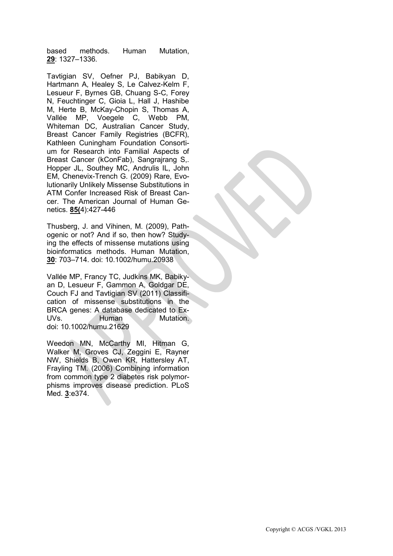based methods. Human Mutation, **29**: 1327–1336.

Tavtigian SV, Oefner PJ, Babikyan D, Hartmann A, Healey S, Le Calvez-Kelm F, Lesueur F, Byrnes GB, Chuang S-C, Forey N, Feuchtinger C, Gioia L, Hall J, Hashibe M, Herte B, McKay-Chopin S, Thomas A, Vallée MP, Voegele C, Webb PM, Whiteman DC, Australian Cancer Study, Breast Cancer Family Registries (BCFR), Kathleen Cuningham Foundation Consortium for Research into Familial Aspects of Breast Cancer (kConFab), Sangrajrang S,. Hopper JL, Southey MC, Andrulis IL, John EM, Chenevix-Trench G. (2009) Rare, Evolutionarily Unlikely Missense Substitutions in ATM Confer Increased Risk of Breast Cancer. The American Journal of Human Genetics. **85(**4):427-446

Thusberg, J. and Vihinen, M. (2009), Pathogenic or not? And if so, then how? Studying the effects of missense mutations using bioinformatics methods. Human Mutation, **30**: 703–714. doi: 10.1002/humu.20938

Vallée MP, Francy TC, Judkins MK, Babikyan D, Lesueur F, Gammon A, Goldgar DE, Couch FJ and Tavtigian SV (2011) Classification of missense substitutions in the BRCA genes: A database dedicated to Ex-UVs. Human Mutation. doi: 10.1002/humu.21629

[Weedon MN, McCarthy MI, Hitman G,](http://www.ncbi.nlm.nih.gov/entrez/query.fcgi?db=pubmed&cmd=Retrieve&dopt=AbstractPlus&list_uids=17020404&query_hl=2&itool=pubmed_docsum)  [Walker M, Groves CJ, Zeggini E, Rayner](http://www.ncbi.nlm.nih.gov/entrez/query.fcgi?db=pubmed&cmd=Retrieve&dopt=AbstractPlus&list_uids=17020404&query_hl=2&itool=pubmed_docsum)  [NW, Shields B, Owen KR, Hattersley AT,](http://www.ncbi.nlm.nih.gov/entrez/query.fcgi?db=pubmed&cmd=Retrieve&dopt=AbstractPlus&list_uids=17020404&query_hl=2&itool=pubmed_docsum)  [Frayling TM.](http://www.ncbi.nlm.nih.gov/entrez/query.fcgi?db=pubmed&cmd=Retrieve&dopt=AbstractPlus&list_uids=17020404&query_hl=2&itool=pubmed_docsum) (2006) Combining information from common type 2 diabetes risk polymorphisms improves disease prediction. PLoS Med. **3**:e374.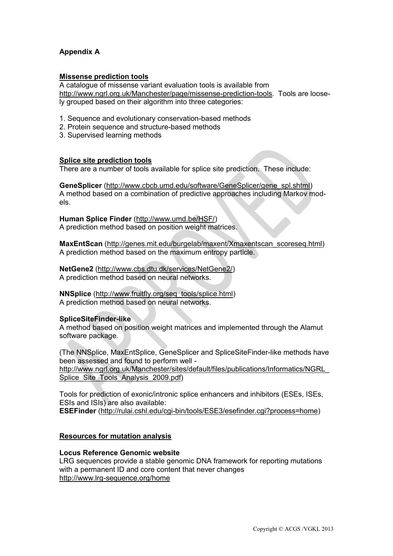# **Appendix A**

#### **Missense prediction tools**

A catalogue of missense variant evaluation tools is available from [http://www.ngrl.org.uk/Manchester/page/missense-prediction-tools.](http://www.ngrl.org.uk/Manchester/page/missense-prediction-tools) Tools are loosely grouped based on their algorithm into three categories:

- 1. Sequence and evolutionary conservation-based methods
- 2. Protein sequence and structure-based methods
- 3. Supervised learning methods

# **Splice site prediction tools**

There are a number of tools available for splice site prediction. These include:

**GeneSplicer** [\(http://www.cbcb.umd.edu/software/GeneSplicer/gene\\_spl.shtml\)](http://www.cbcb.umd.edu/software/GeneSplicer/gene_spl.shtml) A method based on a combination of predictive approaches including Markov models.

**Human Splice Finder** [\(http://www.umd.be/HSF/\)](http://www.umd.be/HSF/) A prediction method based on position weight matrices.

**MaxEntScan** [\(http://genes.mit.edu/burgelab/maxent/Xmaxentscan\\_scoreseq.html\)](http://genes.mit.edu/burgelab/maxent/Xmaxentscan_scoreseq.html) A prediction method based on the maximum entropy particle.

**NetGene2** [\(http://www.cbs.dtu.dk/services/NetGene2/\)](http://www.cbs.dtu.dk/services/NetGene2/) A prediction method based on neural networks.

**NNSplice** [\(http://www.fruitfly.org/seq\\_tools/splice.html\)](http://www.fruitfly.org/seq_tools/splice.html) A prediction method based on neural networks.

#### **SpliceSiteFinder-like**

A method based on position weight matrices and implemented through the Alamut software package.

(The NNSplice, MaxEntSplice, GeneSplicer and SpliceSiteFinder-like methods have been assessed and found to perform well [http://www.ngrl.org.uk/Manchester/sites/default/files/publications/Informatics/NGRL\\_](http://www.ngrl.org.uk/Manchester/sites/default/files/publications/Informatics/NGRL_Splice_Site_Tools_Analysis_2009.pdf) [Splice\\_Site\\_Tools\\_Analysis\\_2009.pdf\)](http://www.ngrl.org.uk/Manchester/sites/default/files/publications/Informatics/NGRL_Splice_Site_Tools_Analysis_2009.pdf)

Tools for prediction of exonic/intronic splice enhancers and inhibitors (ESEs, ISEs, ESIs and ISIs) are also available: **ESEFinder** [\(http://rulai.cshl.edu/cgi-bin/tools/ESE3/esefinder.cgi?process=home\)](http://rulai.cshl.edu/cgi-bin/tools/ESE3/esefinder.cgi?process=home)

# **Resources for mutation analysis**

#### **Locus Reference Genomic website**

LRG sequences provide a stable genomic DNA framework for reporting mutations with a permanent ID and core content that never changes <http://www.lrg-sequence.org/home>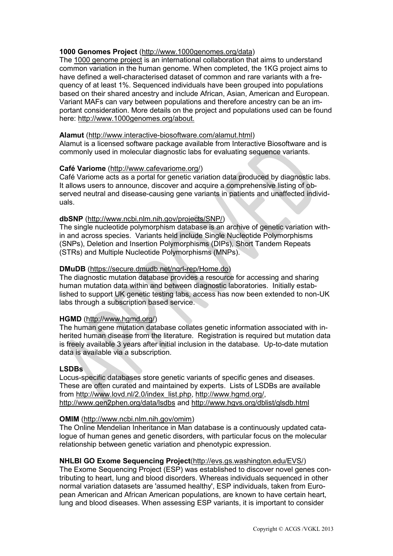# **1000 Genomes Project** [\(http://www.1000genomes.org/data\)](http://www.1000genomes.org/data)

The [1000 genome project](http://www.1000genomes.org/) is an international collaboration that aims to understand common variation in the human genome. When completed, the 1KG project aims to have defined a well-characterised dataset of common and rare variants with a frequency of at least 1%. Sequenced individuals have been grouped into populations based on their shared ancestry and include African, Asian, American and European. Variant MAFs can vary between populations and therefore ancestry can be an important consideration. More details on the project and populations used can be found here: [http://www.1000genomes.org/about.](http://www.1000genomes.org/about)

## **Alamut** [\(http://www.interactive-biosoftware.com/alamut.html\)](http://www.interactive-biosoftware.com/alamut.html)

Alamut is a licensed software package available from Interactive Biosoftware and is commonly used in molecular diagnostic labs for evaluating sequence variants.

## **Café Variome** [\(http://www.cafevariome.org/\)](http://www.cafevariome.org/)

Café Variome acts as a portal for genetic variation data produced by diagnostic labs. It allows users to announce, discover and acquire a comprehensive listing of observed neutral and disease-causing gene variants in patients and unaffected individuals.

## **dbSNP** [\(http://www.ncbi.nlm.nih.gov/projects/SNP/\)](http://www.ncbi.nlm.nih.gov/projects/SNP/)

The single nucleotide polymorphism database is an archive of genetic variation within and across species. Variants held include Single Nucleotide Polymorphisms (SNPs), Deletion and Insertion Polymorphisms (DIPs), Short Tandem Repeats (STRs) and Multiple Nucleotide Polymorphisms (MNPs).

# **DMuDB** [\(https://secure.dmudb.net/ngrl-rep/Home.do\)](https://secure.dmudb.net/ngrl-rep/Home.do)

The diagnostic mutation database provides a resource for accessing and sharing human mutation data within and between diagnostic laboratories. Initially established to support UK genetic testing labs, access has now been extended to non-UK labs through a subscription based service.

# **HGMD** [\(http://www.hgmd.org/\)](http://www.hgmd.org/)

The human gene mutation database collates genetic information associated with inherited human disease from the literature. Registration is required but mutation data is freely available 3 years after initial inclusion in the database. Up-to-date mutation data is available via a subscription.

# **LSDBs**

Locus-specific databases store genetic variants of specific genes and diseases. These are often curated and maintained by experts. Lists of LSDBs are available from [http://www.lovd.nl/2.0/index\\_list.php,](http://www.lovd.nl/2.0/index_list.php) [http://www.hgmd.org/,](http://www.hgmd.org/) <http://www.gen2phen.org/data/lsdbs> and<http://www.hgvs.org/dblist/glsdb.html>

#### **OMIM** [\(http://www.ncbi.nlm.nih.gov/omim\)](http://www.ncbi.nlm.nih.gov/omim)

The Online Mendelian Inheritance in Man database is a continuously updated catalogue of human genes and genetic disorders, with particular focus on the molecular relationship between genetic variation and phenotypic expression.

# **NHLBI GO Exome Sequencing Project**[\(http://evs.gs.washington.edu/EVS/\)](http://evs.gs.washington.edu/EVS/)

The Exome Sequencing Project (ESP) was established to discover novel genes contributing to heart, lung and blood disorders. Whereas individuals sequenced in other normal variation datasets are 'assumed healthy', ESP individuals, taken from European American and African American populations, are known to have certain heart, lung and blood diseases. When assessing ESP variants, it is important to consider